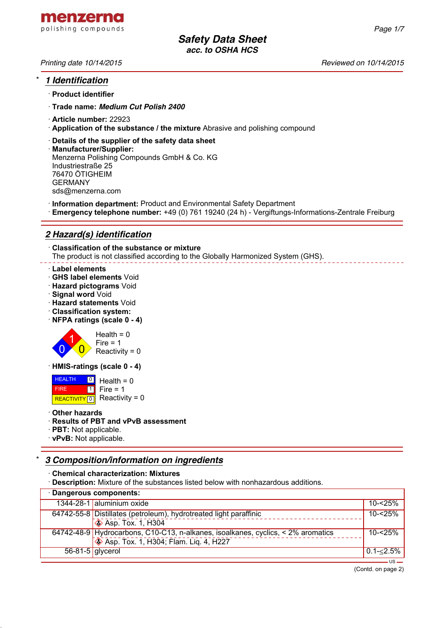

# \* *1 Identification*

- · **Product identifier**
- · **Trade name:** *Medium Cut Polish 2400*
- · **Article number:** 22923
- · **Application of the substance / the mixture** Abrasive and polishing compound
- · **Details of the supplier of the safety data sheet**
- · **Manufacturer/Supplier:** Menzerna Polishing Compounds GmbH & Co. KG Industriestraße 25 76470 ÖTIGHEIM GERMANY sds@menzerna.com
- · **Information department:** Product and Environmental Safety Department
- · **Emergency telephone number:** +49 (0) 761 19240 (24 h) Vergiftungs-Informations-Zentrale Freiburg

# *2 Hazard(s) identification*

· **Classification of the substance or mixture** The product is not classified according to the Globally Harmonized System (GHS).

### · **Label elements**

- · **GHS label elements** Void
- · **Hazard pictograms** Void
- · **Signal word** Void
- · **Hazard statements** Void
- · **Classification system:**
- · **NFPA ratings (scale 0 4)**



· **HMIS-ratings (scale 0 - 4)**

 HEALTH FIRE REACTIVITY  $\boxed{0}$  Reactivity = 0 <u>이</u> Health = 0  $\overline{\mathbf{1}}$  $Fire = 1$ 

· **Other hazards**

### · **Results of PBT and vPvB assessment**

- · **PBT:** Not applicable.
- · **vPvB:** Not applicable.

# \* *3 Composition/information on ingredients*

· **Chemical characterization: Mixtures**

· **Description:** Mixture of the substances listed below with nonhazardous additions.

| · Dangerous components: |                                                                                  |               |  |
|-------------------------|----------------------------------------------------------------------------------|---------------|--|
|                         | 1344-28-1 aluminium oxide                                                        | $10 - 25%$    |  |
|                         | 64742-55-8 Distillates (petroleum), hydrotreated light paraffinic                | $10 - 25%$    |  |
|                         | $\sqrt{\phantom{a}}$ Asp. Tox. 1, H304                                           |               |  |
|                         | 64742-48-9 Hydrocarbons, C10-C13, n-alkanes, isoalkanes, cyclics, < 2% aromatics | $10 - 25%$    |  |
|                         | <b>Solution</b> Asp. Tox. 1, H304; Flam. Lig. 4, H227                            |               |  |
| $56 - 81 - 5$ glycerol  |                                                                                  | $0.1 - 2.5\%$ |  |
|                         |                                                                                  |               |  |

(Contd. on page 2)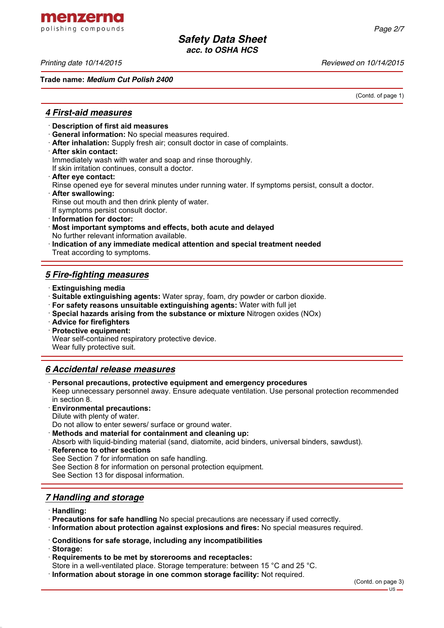menzerna polishing compounds

*Printing date 10/14/2015 Reviewed on 10/14/2015*

**Trade name:** *Medium Cut Polish 2400*

(Contd. of page 1)

## *4 First-aid measures*

- · **Description of first aid measures**
- · **General information:** No special measures required.
- · **After inhalation:** Supply fresh air; consult doctor in case of complaints.
- · **After skin contact:**

Immediately wash with water and soap and rinse thoroughly.

If skin irritation continues, consult a doctor.

- · **After eye contact:**
- Rinse opened eye for several minutes under running water. If symptoms persist, consult a doctor.
- · **After swallowing:**

Rinse out mouth and then drink plenty of water.

If symptoms persist consult doctor.

- · **Information for doctor:**
- · **Most important symptoms and effects, both acute and delayed** No further relevant information available.
- · **Indication of any immediate medical attention and special treatment needed** Treat according to symptoms.

# *5 Fire-fighting measures*

- · **Extinguishing media**
- · **Suitable extinguishing agents:** Water spray, foam, dry powder or carbon dioxide.
- · **For safety reasons unsuitable extinguishing agents:** Water with full jet
- · **Special hazards arising from the substance or mixture** Nitrogen oxides (NOx)
- · **Advice for firefighters**

· **Protective equipment:**

Wear self-contained respiratory protective device.

Wear fully protective suit.

## *6 Accidental release measures*

· **Personal precautions, protective equipment and emergency procedures**

Keep unnecessary personnel away. Ensure adequate ventilation. Use personal protection recommended in section 8.

- · **Environmental precautions:**
- Dilute with plenty of water.

Do not allow to enter sewers/ surface or ground water.

- · **Methods and material for containment and cleaning up:**
- Absorb with liquid-binding material (sand, diatomite, acid binders, universal binders, sawdust).
- **Reference to other sections** See Section 7 for information on safe handling. See Section 8 for information on personal protection equipment. See Section 13 for disposal information.

## *7 Handling and storage*

- · **Handling:**
- · **Precautions for safe handling** No special precautions are necessary if used correctly.
- · **Information about protection against explosions and fires:** No special measures required.
- · **Conditions for safe storage, including any incompatibilities**
- · **Storage:**
- · **Requirements to be met by storerooms and receptacles:**
- Store in a well-ventilated place. Storage temperature: between 15 °C and 25 °C.
- · **Information about storage in one common storage facility:** Not required.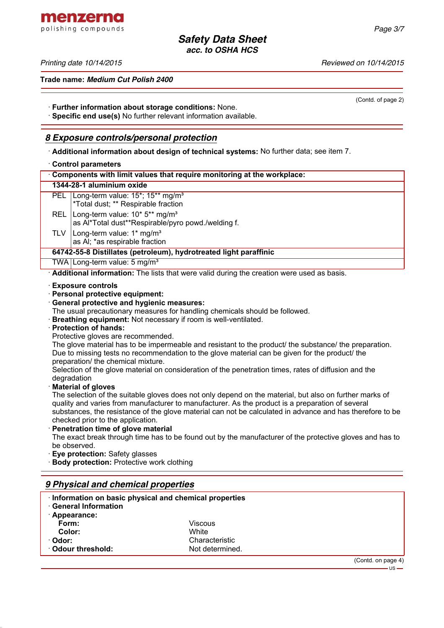menzerna polishing compounds

*Printing date 10/14/2015 Reviewed on 10/14/2015*

**Trade name:** *Medium Cut Polish 2400*

(Contd. of page 2)

· **Further information about storage conditions:** None.

· **Specific end use(s)** No further relevant information available.

### *8 Exposure controls/personal protection*

· **Additional information about design of technical systems:** No further data; see item 7.

### · **Control parameters**

| <b>UUIIIUI PALAIIIUUI J</b>                                                                                         |  |  |  |
|---------------------------------------------------------------------------------------------------------------------|--|--|--|
| Components with limit values that require monitoring at the workplace:                                              |  |  |  |
| 1344-28-1 aluminium oxide                                                                                           |  |  |  |
| PEL<br>Long-term value: 15 <sup>*</sup> ; 15 <sup>**</sup> mg/m <sup>3</sup><br>*Total dust; ** Respirable fraction |  |  |  |
| Long-term value: 10* 5** mg/m <sup>3</sup><br><b>REL</b><br>as Al*Total dust**Respirable/pyro powd./welding f.      |  |  |  |
| Long-term value: 1* mg/m <sup>3</sup><br>TLV<br>as AI; *as respirable fraction                                      |  |  |  |
| 64742-55-8 Distillates (petroleum), hydrotreated light paraffinic                                                   |  |  |  |
| TWA Long-term value: 5 mg/m <sup>3</sup>                                                                            |  |  |  |
| Additional information: The lists that were valid during the creation were used as basis.                           |  |  |  |
| <b>⋅Exposure controls</b><br>· Personal protective equipment:<br>General protective and hygienic measures:          |  |  |  |
| The usual precautionary measures for handling chemicals should be followed.                                         |  |  |  |

· **Breathing equipment:** Not necessary if room is well-ventilated.

### · **Protection of hands:**

Protective gloves are recommended.

The glove material has to be impermeable and resistant to the product/ the substance/ the preparation. Due to missing tests no recommendation to the glove material can be given for the product/ the preparation/ the chemical mixture.

Selection of the glove material on consideration of the penetration times, rates of diffusion and the degradation

### · **Material of gloves**

The selection of the suitable gloves does not only depend on the material, but also on further marks of quality and varies from manufacturer to manufacturer. As the product is a preparation of several substances, the resistance of the glove material can not be calculated in advance and has therefore to be checked prior to the application.

· **Penetration time of glove material**

The exact break through time has to be found out by the manufacturer of the protective gloves and has to be observed.

- **Eve protection: Safety glasses**
- **Body protection:** Protective work clothing

### *9 Physical and chemical properties*

| Information on basic physical and chemical properties |                 |                    |
|-------------------------------------------------------|-----------------|--------------------|
| <b>General Information</b>                            |                 |                    |
| · Appearance:                                         |                 |                    |
| Form:                                                 | Viscous         |                    |
| Color:                                                | White           |                    |
| · Odor:                                               | Characteristic  |                    |
| <b>⋅ Odour threshold:</b>                             | Not determined. |                    |
|                                                       |                 | (Contd. on page 4) |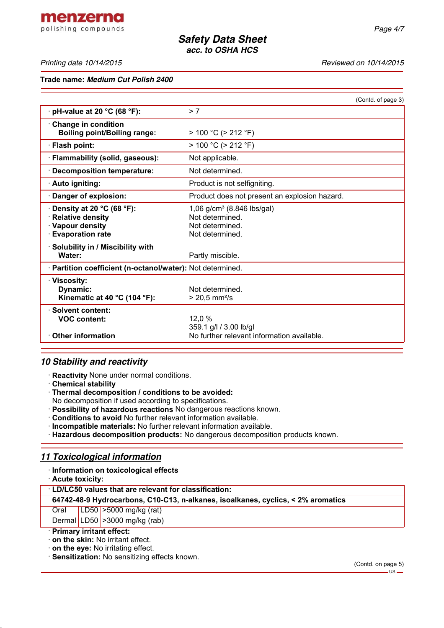*Printing date 10/14/2015 Reviewed on 10/14/2015*

**Trade name:** *Medium Cut Polish 2400*

|                                                                                                        | (Contd. of page 3)                                                                              |
|--------------------------------------------------------------------------------------------------------|-------------------------------------------------------------------------------------------------|
| pH-value at 20 °C (68 °F):                                                                             | > 7                                                                                             |
| $\cdot$ Change in condition<br><b>Boiling point/Boiling range:</b>                                     | $> 100 °C$ ( $> 212 °F$ )                                                                       |
| · Flash point:                                                                                         | $> 100 °C$ ( $> 212 °F$ )                                                                       |
| · Flammability (solid, gaseous):                                                                       | Not applicable.                                                                                 |
| · Decomposition temperature:                                                                           | Not determined.                                                                                 |
| · Auto igniting:                                                                                       | Product is not selfigniting.                                                                    |
| Danger of explosion:                                                                                   | Product does not present an explosion hazard.                                                   |
| $\cdot$ Density at 20 °C (68 °F):<br>· Relative density<br>· Vapour density<br><b>Evaporation rate</b> | 1,06 g/cm <sup>3</sup> (8.846 lbs/gal)<br>Not determined.<br>Not determined.<br>Not determined. |
| · Solubility in / Miscibility with<br>Water:                                                           | Partly miscible.                                                                                |
| · Partition coefficient (n-octanol/water): Not determined.                                             |                                                                                                 |
| · Viscositv:<br>Dynamic:<br>Kinematic at 40 °C (104 °F):                                               | Not determined.<br>$> 20.5$ mm <sup>2</sup> /s                                                  |
| · Solvent content:<br><b>VOC content:</b>                                                              | 12.0 %<br>359.1 g/l / 3.00 lb/gl                                                                |
| <b>Other information</b>                                                                               | No further relevant information available.                                                      |

# *10 Stability and reactivity*

· **Reactivity** None under normal conditions.

· **Chemical stability**

· **Thermal decomposition / conditions to be avoided:**

No decomposition if used according to specifications.

- · **Possibility of hazardous reactions** No dangerous reactions known.
- · **Conditions to avoid** No further relevant information available.
- · **Incompatible materials:** No further relevant information available.
- · **Hazardous decomposition products:** No dangerous decomposition products known.

## *11 Toxicological information*

## · **Information on toxicological effects**

· **Acute toxicity:**

· **LD/LC50 values that are relevant for classification:**

### **64742-48-9 Hydrocarbons, C10-C13, n-alkanes, isoalkanes, cyclics, < 2% aromatics**

Oral LD50 >5000 mg/kg (rat)

Dermal LD50  $\geq$ 3000 mg/kg (rab)

### · **Primary irritant effect:**

· **on the skin:** No irritant effect.

· **on the eye:** No irritating effect.

· **Sensitization:** No sensitizing effects known.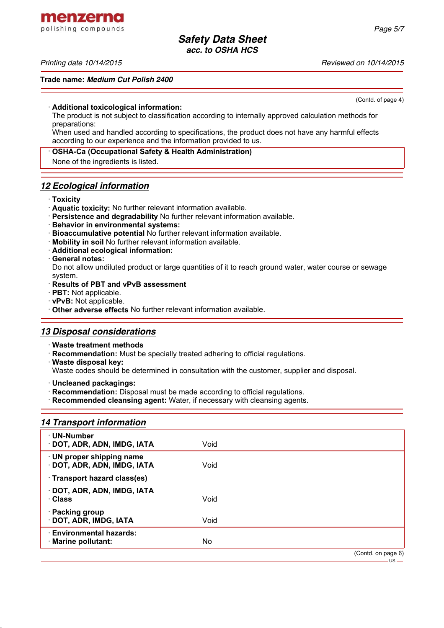menzerna polishing compounds

### *Printing date 10/14/2015 Reviewed on 10/14/2015*

#### **Trade name:** *Medium Cut Polish 2400*

(Contd. of page 4)

#### · **Additional toxicological information:**

The product is not subject to classification according to internally approved calculation methods for preparations:

When used and handled according to specifications, the product does not have any harmful effects according to our experience and the information provided to us.

### · **OSHA-Ca (Occupational Safety & Health Administration)**

None of the ingredients is listed.

### *12 Ecological information*

### · **Toxicity**

- · **Aquatic toxicity:** No further relevant information available.
- · **Persistence and degradability** No further relevant information available.
- · **Behavior in environmental systems:**
- · **Bioaccumulative potential** No further relevant information available.
- · **Mobility in soil** No further relevant information available.
- · **Additional ecological information:**
- · **General notes:**

Do not allow undiluted product or large quantities of it to reach ground water, water course or sewage system.

### · **Results of PBT and vPvB assessment**

- · **PBT:** Not applicable.
- · **vPvB:** Not applicable.
- · **Other adverse effects** No further relevant information available.

## *13 Disposal considerations*

- · **Waste treatment methods**
- · **Recommendation:** Must be specially treated adhering to official regulations.
- · **Waste disposal key:**

Waste codes should be determined in consultation with the customer, supplier and disposal.

- · **Uncleaned packagings:**
- · **Recommendation:** Disposal must be made according to official regulations.
- · **Recommended cleansing agent:** Water, if necessary with cleansing agents.

## *14 Transport information*

| · UN-Number<br>· DOT, ADR, ADN, IMDG, IATA             | Void |                    |
|--------------------------------------------------------|------|--------------------|
| · UN proper shipping name<br>DOT, ADR, ADN, IMDG, IATA | Void |                    |
| · Transport hazard class(es)                           |      |                    |
| DOT, ADR, ADN, IMDG, IATA<br>· Class                   | Void |                    |
| · Packing group<br>· DOT, ADR, IMDG, IATA              | Void |                    |
| <b>Environmental hazards:</b><br>· Marine pollutant:   | No   |                    |
|                                                        |      | (Contd. on page 6) |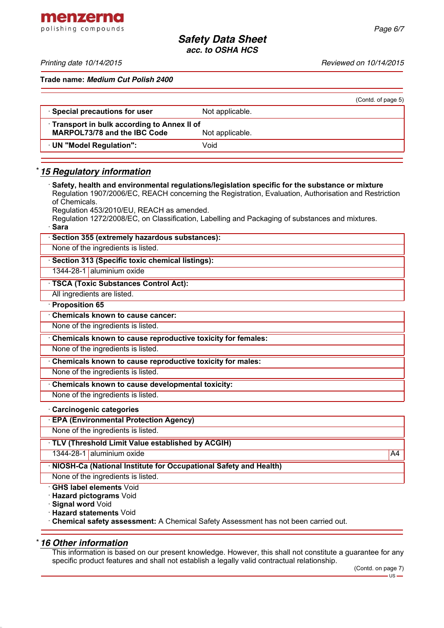menzerna polishing compounds

*Printing date 10/14/2015 Reviewed on 10/14/2015*

**Trade name:** *Medium Cut Polish 2400*

|                                                                                                        |                 | (Contd. of page 5) |  |  |
|--------------------------------------------------------------------------------------------------------|-----------------|--------------------|--|--|
| · Special precautions for user                                                                         | Not applicable. |                    |  |  |
| • Transport in bulk according to Annex II of<br><b>MARPOL73/78 and the IBC Code</b><br>Not applicable. |                 |                    |  |  |
| UN "Model Regulation":                                                                                 | Void            |                    |  |  |
|                                                                                                        |                 |                    |  |  |

## \* *15 Regulatory information*

· **Safety, health and environmental regulations/legislation specific for the substance or mixture** Regulation 1907/2006/EC, REACH concerning the Registration, Evaluation, Authorisation and Restriction of Chemicals. Regulation 453/2010/EU, REACH as amended. Regulation 1272/2008/EC, on Classification, Labelling and Packaging of substances and mixtures. · **Sara** Section 355 (extremely hazardous substances): None of the ingredients is listed. · **Section 313 (Specific toxic chemical listings):** 1344-28-1 aluminium oxide · **TSCA (Toxic Substances Control Act):** All ingredients are listed. · **Proposition 65** · **Chemicals known to cause cancer:** None of the ingredients is listed. · **Chemicals known to cause reproductive toxicity for females:** None of the ingredients is listed. · **Chemicals known to cause reproductive toxicity for males:** None of the ingredients is listed. · **Chemicals known to cause developmental toxicity:** None of the ingredients is listed. · **Carcinogenic categories** · **EPA (Environmental Protection Agency)** None of the ingredients is listed. · **TLV (Threshold Limit Value established by ACGIH)**

1344-28-1 aluminium oxide A4 and the A4 and the A4 and the A4 and the A4 and the A4 and the A4 and the A4 and the A4

· **NIOSH-Ca (National Institute for Occupational Safety and Health)**

None of the ingredients is listed.

· **GHS label elements** Void

· **Hazard pictograms** Void

· **Signal word** Void

· **Hazard statements** Void

· **Chemical safety assessment:** A Chemical Safety Assessment has not been carried out.

## \* *16 Other information*

This information is based on our present knowledge. However, this shall not constitute a guarantee for any specific product features and shall not establish a legally valid contractual relationship.